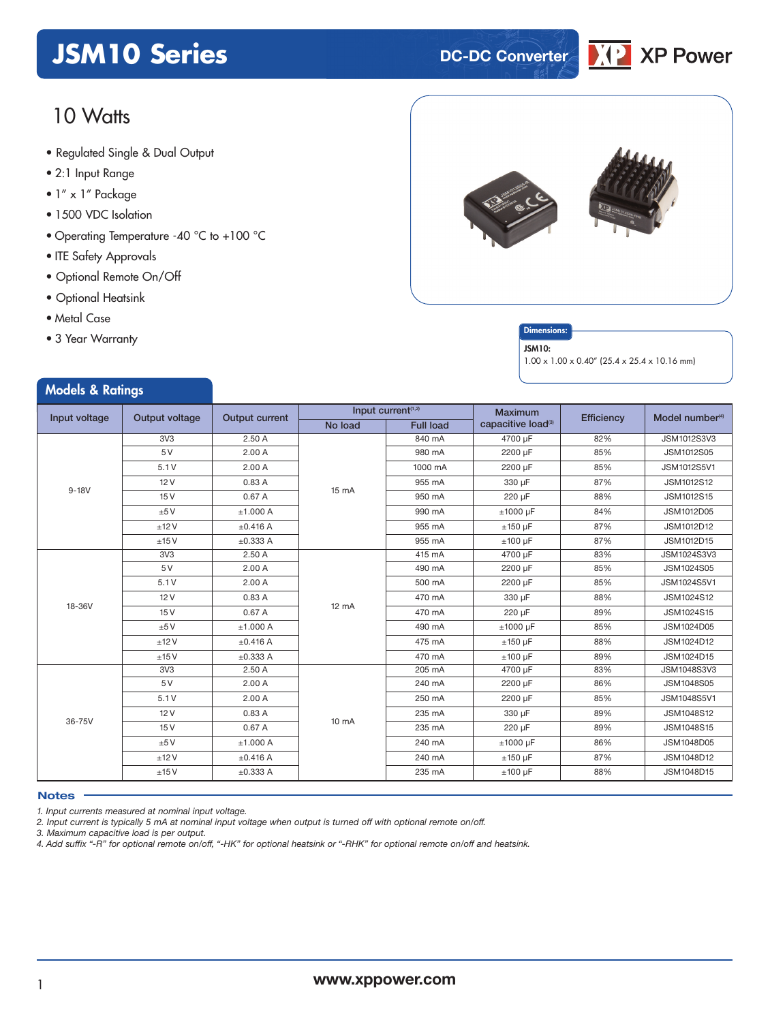# **JSM10 Series DC-DC Converter**

# 10 Watts

- **xxx Series** Regulated Single & Dual Output
- 2:1 Input Range
- 1" x 1" Package
- 1500 VDC Isolation
- Operating Temperature -40 °C to +100 °C
- ITE Safety Approvals
- Optional Remote On/Off
- Optional Heatsink
- Metal Case
- 3 Year Warranty

Models & Ratings



#### **Dimensions**

#### JSM10:

1.00 x 1.00 x 0.40" (25.4 x 25.4 x 10.16 mm)

| Input voltage<br>Output voltage |                 |                       |                                                               |         | <b>Maximum</b>                 |            |                             |
|---------------------------------|-----------------|-----------------------|---------------------------------------------------------------|---------|--------------------------------|------------|-----------------------------|
|                                 |                 | <b>Output current</b> | Input current <sup>(1,2)</sup><br><b>Full load</b><br>No load |         | capacitive load <sup>(3)</sup> | Efficiency | Model number <sup>(4)</sup> |
|                                 | 3V3             | 2.50A                 |                                                               | 840 mA  | 4700 µF                        | 82%        | JSM1012S3V3                 |
|                                 | 5 V             | 2.00A                 |                                                               | 980 mA  | 2200 µF                        | 85%        | JSM1012S05                  |
|                                 | 5.1V            | 2.00A                 |                                                               | 1000 mA | 2200 µF                        | 85%        | JSM1012S5V1                 |
|                                 | 12V             | 0.83A                 |                                                               | 955 mA  | 330 µF                         | 87%        | JSM1012S12                  |
| $9 - 18V$                       | 15V             | 0.67A                 | 15 mA                                                         | 950 mA  | 220 µF                         | 88%        | JSM1012S15                  |
|                                 | ±5V             | ±1.000 A              |                                                               | 990 mA  | $±1000$ µF                     | 84%        | JSM1012D05                  |
|                                 | ±12V            | ±0.416 A              |                                                               | 955 mA  | $±150 \mu F$                   | 87%        | JSM1012D12                  |
|                                 | ±15V            | ±0.333 A              |                                                               | 955 mA  | $±100 \mu F$                   | 87%        | JSM1012D15                  |
|                                 | 3V <sub>3</sub> | 2.50A                 |                                                               | 415 mA  | 4700 µF                        | 83%        | JSM1024S3V3                 |
|                                 | 5 V             | 2.00A                 | $12 \text{ mA}$                                               | 490 mA  | 2200 µF                        | 85%        | JSM1024S05                  |
|                                 | 5.1V            | 2.00A                 |                                                               | 500 mA  | 2200 µF                        | 85%        | JSM1024S5V1                 |
|                                 | 12V             | 0.83A                 |                                                               | 470 mA  | 330 µF                         | 88%        | JSM1024S12                  |
| 18-36V                          | 15V             | 0.67A                 |                                                               | 470 mA  | 220 µF                         | 89%        | JSM1024S15                  |
|                                 | ±5V             | ±1.000 A              |                                                               | 490 mA  | $±1000$ µF                     | 85%        | JSM1024D05                  |
|                                 | ±12V            | ±0.416 A              |                                                               | 475 mA  | $±150 \mu F$                   | 88%        | JSM1024D12                  |
|                                 | ±15V            | ±0.333 A              |                                                               | 470 mA  | $±100 \mu F$                   | 89%        | JSM1024D15                  |
|                                 | 3V <sub>3</sub> | 2.50A                 |                                                               | 205 mA  | 4700 µF                        | 83%        | <b>JSM1048S3V3</b>          |
|                                 | 5 V             | 2.00A                 |                                                               | 240 mA  | 2200 µF                        | 86%        | JSM1048S05                  |
| 36-75V                          | 5.1V            | 2.00A                 |                                                               | 250 mA  | 2200 µF                        | 85%        | JSM1048S5V1                 |
|                                 | 12V             | 0.83 A                |                                                               | 235 mA  | 330 µF                         | 89%        | JSM1048S12                  |
|                                 | 15V             | 0.67A                 | $10 \text{ mA}$                                               | 235 mA  | 220 µF                         | 89%        | JSM1048S15                  |
|                                 | ±5V             | ±1.000 A              |                                                               | 240 mA  | $±1000$ µF                     | 86%        | JSM1048D05                  |
|                                 | ±12V            | ±0.416 A              |                                                               | 240 mA  | $±150 \mu F$                   | 87%        | JSM1048D12                  |
|                                 | ±15V            | $\pm 0.333$ A         |                                                               | 235 mA  | $±100 \mu F$                   | 88%        | JSM1048D15                  |

#### **Notes**

*1. Input currents measured at nominal input voltage.*

2. Input current is typically 5 mA at nominal input voltage when output is turned off with optional remote on/off.

*3. Maximum capacitive load is per output.*

4. Add suffix "-R" for optional remote on/off, "-HK" for optional heatsink or "-RHK" for optional remote on/off and heatsink.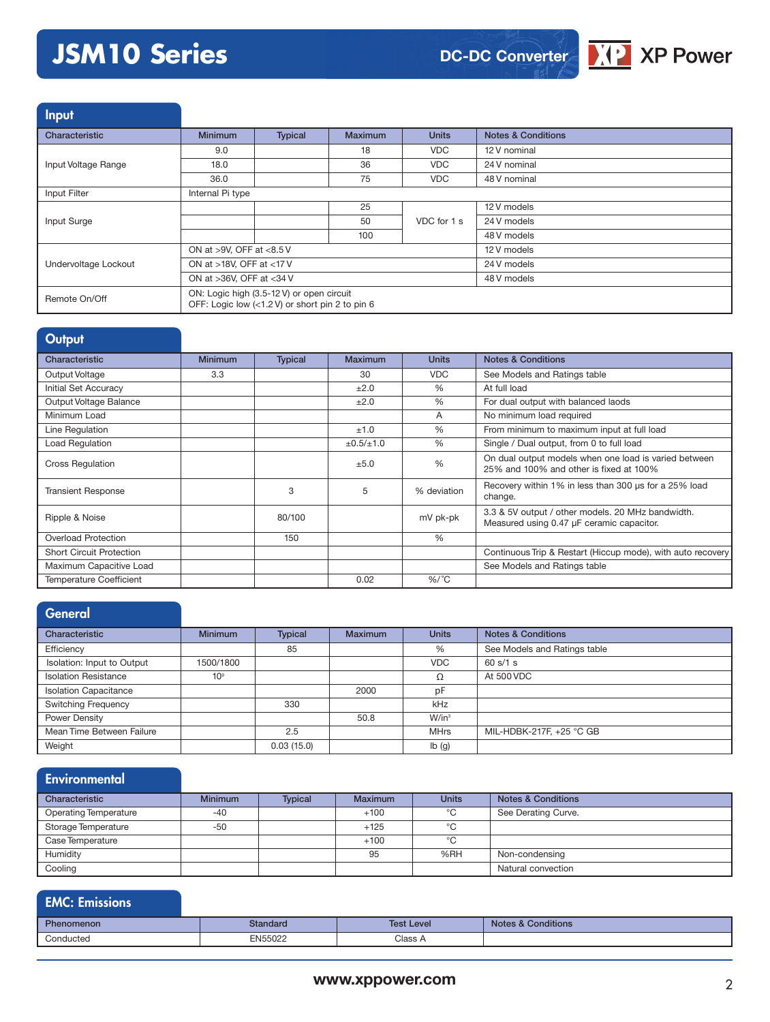# **JSM10 Series**



Input

| Characteristic       | <b>Minimum</b>                                                                               | <b>Typical</b> | Maximum | <b>Units</b> | <b>Notes &amp; Conditions</b> |
|----------------------|----------------------------------------------------------------------------------------------|----------------|---------|--------------|-------------------------------|
|                      | 9.0                                                                                          |                | 18      | <b>VDC</b>   | 12 V nominal                  |
| Input Voltage Range  | 18.0                                                                                         |                | 36      | <b>VDC</b>   | 24 V nominal                  |
|                      | 36.0                                                                                         |                | 75      | <b>VDC</b>   | 48 V nominal                  |
| Input Filter         | Internal Pi type                                                                             |                |         |              |                               |
|                      |                                                                                              |                | 25      | VDC for 1 s  | 12 V models                   |
| Input Surge          |                                                                                              |                | 50      |              | 24 V models                   |
|                      |                                                                                              |                | 100     |              | 48 V models                   |
|                      | ON at >9V, OFF at <8.5 V                                                                     |                |         | 12 V models  |                               |
| Undervoltage Lockout | ON at >18V, OFF at <17V                                                                      |                |         | 24 V models  |                               |
|                      | ON at >36V, OFF at <34 V                                                                     |                |         | 48 V models  |                               |
| Remote On/Off        | ON: Logic high (3.5-12 V) or open circuit<br>OFF: Logic low (<1.2 V) or short pin 2 to pin 6 |                |         |              |                               |

| Output                          |                |                |                     |               |                                                                                                  |
|---------------------------------|----------------|----------------|---------------------|---------------|--------------------------------------------------------------------------------------------------|
| Characteristic                  | <b>Minimum</b> | <b>Typical</b> | Maximum             | <b>Units</b>  | <b>Notes &amp; Conditions</b>                                                                    |
| Output Voltage                  | 3.3            |                | 30                  | <b>VDC</b>    | See Models and Ratings table                                                                     |
| Initial Set Accuracy            |                |                | ±2.0                | $\frac{0}{0}$ | At full load                                                                                     |
| Output Voltage Balance          |                |                | ±2.0                | $\%$          | For dual output with balanced laods                                                              |
| Minimum Load                    |                |                |                     | A             | No minimum load required                                                                         |
| Line Regulation                 |                |                | ±1.0                | $\frac{0}{0}$ | From minimum to maximum input at full load                                                       |
| Load Regulation                 |                |                | $\pm 0.5 / \pm 1.0$ | $\frac{0}{0}$ | Single / Dual output, from 0 to full load                                                        |
| <b>Cross Regulation</b>         |                |                | ±5.0                | $\frac{0}{0}$ | On dual output models when one load is varied between<br>25% and 100% and other is fixed at 100% |
| <b>Transient Response</b>       |                | 3              | 5                   | % deviation   | Recovery within 1% in less than 300 us for a 25% load<br>change.                                 |
| Ripple & Noise                  |                | 80/100         |                     | mV pk-pk      | 3.3 & 5V output / other models. 20 MHz bandwidth.<br>Measured using 0.47 µF ceramic capacitor.   |
| Overload Protection             |                | 150            |                     | $\%$          |                                                                                                  |
| <b>Short Circuit Protection</b> |                |                |                     |               | Continuous Trip & Restart (Hiccup mode), with auto recovery                                      |
| Maximum Capacitive Load         |                |                |                     |               | See Models and Ratings table                                                                     |
| <b>Temperature Coefficient</b>  |                |                | 0.02                | $%$ /°C       |                                                                                                  |

#### **General** Characteristic **Minimum Typical Maximum Units Notes & Conditions** Efficiency 85 % See Models and Ratings table Isolation: Input to Output 1500/1800 VDC 60 s/1 s Isolation Resistance 10<sup>9</sup> 10<sup>9</sup> 2000 1 At 500 VDC<br>Isolation Capacitance 2000 pF Isolation Capacitance 2000 pF<br>
Switching Frequency 2000 kHz Switching Frequency Power Density **Natural Contract Contract Contract Contract Contract Contract Contract Contract Contract Contract Contract Contract Contract Contract Contract Contract Contract Contract Contract Contract Contract Contract C** Mean Time Between Failure **2.5** 2.5 MHrs MIL-HDBK-217F, +25 °C GB Weight **12.03 (15.0) lb** (g)

#### **Environmental**

| Characteristic               | <b>Minimum</b> | <b>Typical</b> | <b>Maximum</b> | <b>Units</b> | <b>Notes &amp; Conditions</b> |
|------------------------------|----------------|----------------|----------------|--------------|-------------------------------|
| <b>Operating Temperature</b> | $-40$          |                | $+100$         | °C           | See Derating Curve.           |
| Storage Temperature          | $-50$          |                | $+125$         | °C           |                               |
| Case Temperature             |                |                | $+100$         | °C           |                               |
| Humidity                     |                |                | 95             | %RH          | Non-condensing                |
| Cooling                      |                |                |                |              | Natural convection            |

### EMC: Emissions

| Phen<br>omenon | <b>Jandard</b> | <b>Test Level</b> | <b>Conditions</b><br><b>Note</b> |
|----------------|----------------|-------------------|----------------------------------|
| Conducted<br>. | EN55022<br>™u. | Class A           |                                  |